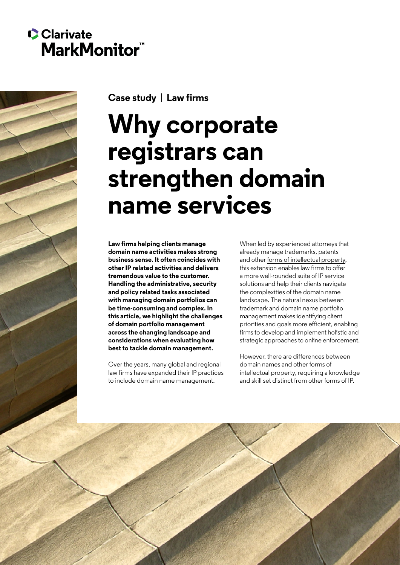# **C**Clarivate **MarkMonitor<sup>"</sup>**



**Case study** | **Law firms**

# **Why corporate registrars can strengthen domain name services**

**Law firms helping clients manage domain name activities makes strong business sense. It often coincides with other IP related activities and delivers tremendous value to the customer. Handling the administrative, security and policy related tasks associated with managing domain portfolios can be time-consuming and complex. In this article, we highlight the challenges of domain portfolio management across the changing landscape and considerations when evaluating how best to tackle domain management.**

Over the years, many global and regional law firms have expanded their IP practices to include domain name management.

When led by experienced attorneys that already manage trademarks, patents and other [forms of intellectual property,](https://markmonitor.com/mmblog/domain-names-the-often-overlooked-ip-asset/) this extension enables law firms to offer a more well-rounded suite of IP service solutions and help their clients navigate the complexities of the domain name landscape. The natural nexus between trademark and domain name portfolio management makes identifying client priorities and goals more efficient, enabling firms to develop and implement holistic and strategic approaches to online enforcement.

However, there are differences between domain names and other forms of intellectual property, requiring a knowledge and skill set distinct from other forms of IP.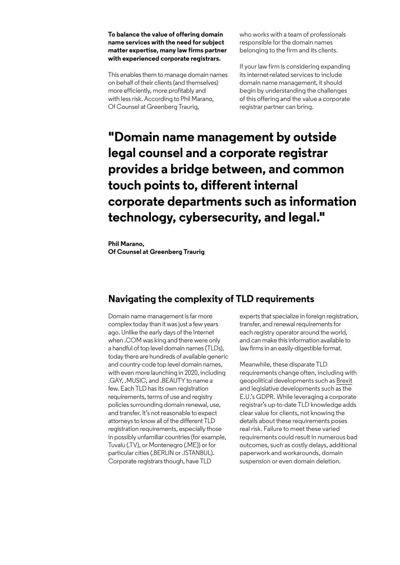#### **To balance the value of offering domain name services with the need for subject matter expertise, many law firms partner with experienced corporate registrars.**

This enables them to manage domain names on behalf of their clients (and themselves) more efficiently, more profitably and with less risk. According to Phil Marano, Of Counsel at Greenberg Traurig,

who works with a team of professionals responsible for the domain names belonging to the firm and its clients.

If your law firm is considering expanding its internet-related services to include domain name management, it should begin by understanding the challenges of this offering and the value a corporate registrar partner can bring.

# **"Domain name management by outside legal counsel and a corporate registrar provides a bridge between, and common touch points to, different internal corporate departments such as information technology, cybersecurity, and legal."**

**Phil Marano, Of Counsel at Greenberg Traurig**

# **Navigating the complexity of TLD requirements**

Domain name management is far more complex today than it was just a few years ago. Unlike the early days of the Internet when .COM was king and there were only a handful of top level domain names (TLDs), today there are hundreds of available generic and country-code top level domain names, with even more launching in 2020, including .GAY, .MUSIC, and .BEAUTY to name a few. Each TLD has its own registration requirements, terms of use and registry policies surrounding domain renewal, use, and transfer. It's not reasonable to expect attorneys to know all of the different TLD registration requirements, especially those in possibly unfamiliar countries (for example, Tuvalu (.TV), or Montenegro (.ME)) or for particular cities (.BERLIN or .ISTANBUL). Corporate registrars though, have TLD

experts that specialize in foreign registration, transfer, and renewal requirements for each registry operator around the world, and can make this information available to law firms in an easily-digestible format.

Meanwhile, these disparate TLD requirements change often, including with geopolitical developments such as [Brexit](https://itristanmedia.com/blog/2019/10/23/eu-tld-changes-coming-with-brexit/) and legislative developments such as the E.U.'s GDPR. While leveraging a corporate registrar's up-to-date TLD knowledge adds clear value for clients, not knowing the details about these requirements poses real risk. Failure to meet these varied requirements could result in numerous bad outcomes, such as costly delays, additional paperwork and workarounds, domain suspension or even domain deletion.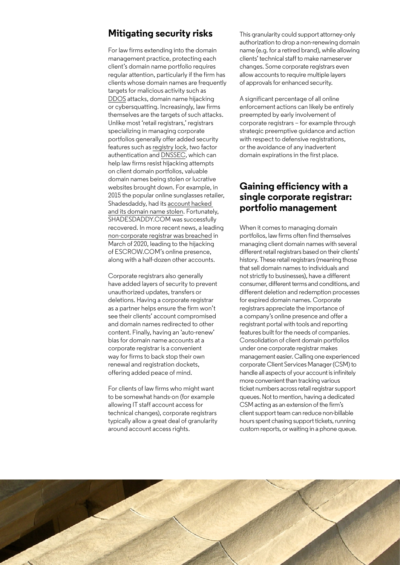## **Mitigating security risks**

For law firms extending into the domain management practice, protecting each client's domain name portfolio requires regular attention, particularly if the firm has clients whose domain names are frequently targets for malicious activity such as [DDOS](https://en.wikipedia.org/wiki/Denial-of-service_attack) attacks, domain name hijacking or cybersquatting. Increasingly, law firms themselves are the targets of such attacks. Unlike most 'retail registrars,' registrars specializing in managing corporate portfolios generally offer added security features such as [registry lock,](https://www.markmonitor.com/mmblog/protecting-your-domain-assets/) two factor authentication and [DNSSEC](https://www.icann.org/resources/pages/dnssec-what-is-it-why-important-2019-03-05-en), which can help law firms resist hijacking attempts on client domain portfolios, valuable domain names being stolen or lucrative websites brought down. For example, in 2015 the popular online sunglasses retailer, Shadesdaddy, had its [account hacked](https://shadesdaddyblog.com/shadesdaddy-com-domain-hijacked-hackers-china-redirecting-websites/)  [and its domain name stolen.](https://shadesdaddyblog.com/shadesdaddy-com-domain-hijacked-hackers-china-redirecting-websites/) Fortunately, SHADESDADDY.COM was successfully recovered. In more recent news, a leading [non-corporate registrar was breached](https://krebsonsecurity.com/2020/03/phish-of-godaddy-employee-jeopardized-escrow-com-among-others/) in March of 2020, leading to the hijacking of ESCROW.COM's online presence, along with a half-dozen other accounts.

Corporate registrars also generally have added layers of security to prevent unauthorized updates, transfers or deletions. Having a corporate registrar as a partner helps ensure the firm won't see their clients' account compromised and domain names redirected to other content. Finally, having an 'auto-renew' bias for domain name accounts at a corporate registrar is a convenient way for firms to back stop their own renewal and registration dockets, offering added peace of mind.

For clients of law firms who might want to be somewhat hands-on (for example allowing IT staff account access for technical changes), corporate registrars typically allow a great deal of granularity around account access rights.

This granularity could support attorney-only authorization to drop a non-renewing domain name (e.g. for a retired brand), while allowing clients' technical staff to make nameserver changes. Some corporate registrars even allow accounts to require multiple layers of approvals for enhanced security.

A significant percentage of all online enforcement actions can likely be entirely preempted by early involvement of corporate registrars – for example through strategic preemptive guidance and action with respect to defensive registrations, or the avoidance of any inadvertent domain expirations in the first place.

## **Gaining efficiency with a single corporate registrar: portfolio management**

When it comes to managing domain portfolios, law firms often find themselves managing client domain names with several different retail registrars based on their clients' history. These retail registrars (meaning those that sell domain names to individuals and not strictly to businesses), have a different consumer, different terms and conditions, and different deletion and redemption processes for expired domain names. Corporate registrars appreciate the importance of a company's online presence and offer a registrant portal with tools and reporting features built for the needs of companies. Consolidation of client domain portfolios under one corporate registrar makes management easier. Calling one experienced corporate Client Services Manager (CSM) to handle all aspects of your account is infinitely more convenient than tracking various ticket numbers across retail registrar support queues. Not to mention, having a dedicated CSM acting as an extension of the firm's client support team can reduce non-billable hours spent chasing support tickets, running custom reports, or waiting in a phone queue.